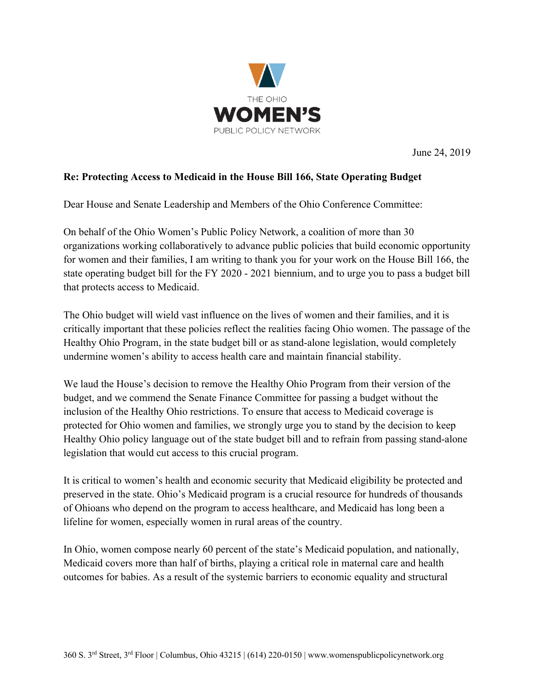

June 24, 2019

## **Re: Protecting Access to Medicaid in the House Bill 166, State Operating Budget**

Dear House and Senate Leadership and Members of the Ohio Conference Committee:

On behalf of the Ohio Women's Public Policy Network, a coalition of more than 30 organizations working collaboratively to advance public policies that build economic opportunity for women and their families, I am writing to thank you for your work on the House Bill 166, the state operating budget bill for the FY 2020 - 2021 biennium, and to urge you to pass a budget bill that protects access to Medicaid.

The Ohio budget will wield vast influence on the lives of women and their families, and it is critically important that these policies reflect the realities facing Ohio women. The passage of the Healthy Ohio Program, in the state budget bill or as stand-alone legislation, would completely undermine women's ability to access health care and maintain financial stability.

We laud the House's decision to remove the Healthy Ohio Program from their version of the budget, and we commend the Senate Finance Committee for passing a budget without the inclusion of the Healthy Ohio restrictions. To ensure that access to Medicaid coverage is protected for Ohio women and families, we strongly urge you to stand by the decision to keep Healthy Ohio policy language out of the state budget bill and to refrain from passing stand-alone legislation that would cut access to this crucial program.

It is critical to women's health and economic security that Medicaid eligibility be protected and preserved in the state. Ohio's Medicaid program is a crucial resource for hundreds of thousands of Ohioans who depend on the program to access healthcare, and Medicaid has long been a lifeline for women, especially women in rural areas of the country.

In Ohio, women compose nearly 60 percent of the state's Medicaid population, and nationally, Medicaid covers more than half of births, playing a critical role in maternal care and health outcomes for babies. As a result of the systemic barriers to economic equality and structural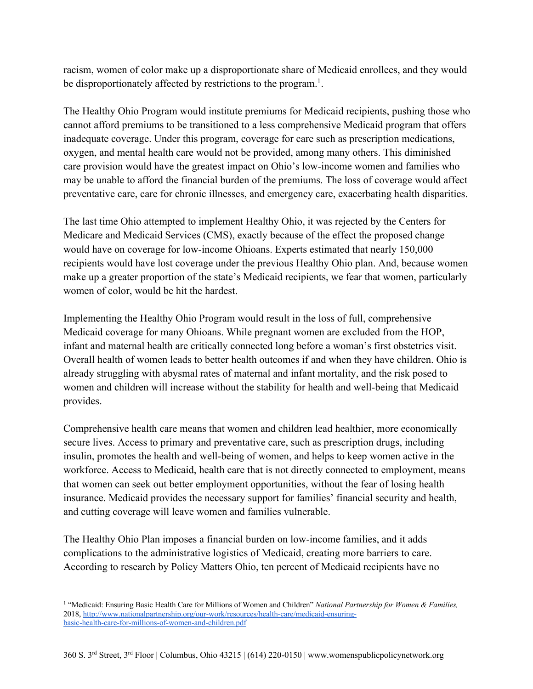racism, women of color make up a disproportionate share of Medicaid enrollees, and they would be disproportionately affected by restrictions to the program.<sup>1</sup>.

The Healthy Ohio Program would institute premiums for Medicaid recipients, pushing those who cannot afford premiums to be transitioned to a less comprehensive Medicaid program that offers inadequate coverage. Under this program, coverage for care such as prescription medications, oxygen, and mental health care would not be provided, among many others. This diminished care provision would have the greatest impact on Ohio's low-income women and families who may be unable to afford the financial burden of the premiums. The loss of coverage would affect preventative care, care for chronic illnesses, and emergency care, exacerbating health disparities.

The last time Ohio attempted to implement Healthy Ohio, it was rejected by the Centers for Medicare and Medicaid Services (CMS), exactly because of the effect the proposed change would have on coverage for low-income Ohioans. Experts estimated that nearly 150,000 recipients would have lost coverage under the previous Healthy Ohio plan. And, because women make up a greater proportion of the state's Medicaid recipients, we fear that women, particularly women of color, would be hit the hardest.

Implementing the Healthy Ohio Program would result in the loss of full, comprehensive Medicaid coverage for many Ohioans. While pregnant women are excluded from the HOP, infant and maternal health are critically connected long before a woman's first obstetrics visit. Overall health of women leads to better health outcomes if and when they have children. Ohio is already struggling with abysmal rates of maternal and infant mortality, and the risk posed to women and children will increase without the stability for health and well-being that Medicaid provides.

Comprehensive health care means that women and children lead healthier, more economically secure lives. Access to primary and preventative care, such as prescription drugs, including insulin, promotes the health and well-being of women, and helps to keep women active in the workforce. Access to Medicaid, health care that is not directly connected to employment, means that women can seek out better employment opportunities, without the fear of losing health insurance. Medicaid provides the necessary support for families' financial security and health, and cutting coverage will leave women and families vulnerable.

The Healthy Ohio Plan imposes a financial burden on low-income families, and it adds complications to the administrative logistics of Medicaid, creating more barriers to care. According to research by Policy Matters Ohio, ten percent of Medicaid recipients have no

<sup>1</sup> "Medicaid: Ensuring Basic Health Care for Millions of Women and Children" *National Partnership for Women & Families,*  2018, http://www.nationalpartnership.org/our-work/resources/health-care/medicaid-ensuringbasic-health-care-for-millions-of-women-and-children.pdf